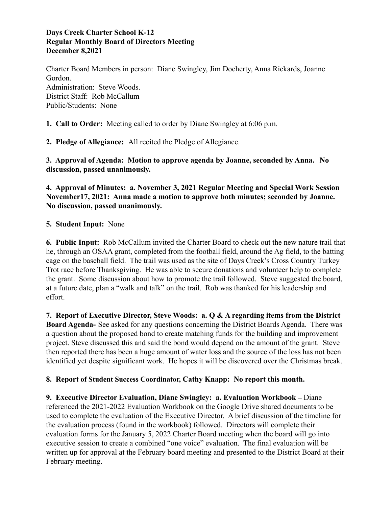## **Days Creek Charter School K-12 Regular Monthly Board of Directors Meeting December 8,2021**

Charter Board Members in person: Diane Swingley, Jim Docherty, Anna Rickards, Joanne Gordon. Administration: Steve Woods. District Staff: Rob McCallum Public/Students: None

**1. Call to Order:** Meeting called to order by Diane Swingley at 6:06 p.m.

**2. Pledge of Allegiance:** All recited the Pledge of Allegiance.

**3. Approval of Agenda: Motion to approve agenda by Joanne, seconded by Anna. No discussion, passed unanimously.**

**4. Approval of Minutes: a. November 3, 2021 Regular Meeting and Special Work Session November17, 2021: Anna made a motion to approve both minutes; seconded by Joanne. No discussion, passed unanimously.**

## **5. Student Input:** None

**6. Public Input:** Rob McCallum invited the Charter Board to check out the new nature trail that he, through an OSAA grant, completed from the football field, around the Ag field, to the batting cage on the baseball field. The trail was used as the site of Days Creek's Cross Country Turkey Trot race before Thanksgiving. He was able to secure donations and volunteer help to complete the grant. Some discussion about how to promote the trail followed. Steve suggested the board, at a future date, plan a "walk and talk" on the trail. Rob was thanked for his leadership and effort.

**7. Report of Executive Director, Steve Woods: a. Q & A regarding items from the District Board Agenda-** See asked for any questions concerning the District Boards Agenda. There was a question about the proposed bond to create matching funds for the building and improvement project. Steve discussed this and said the bond would depend on the amount of the grant. Steve then reported there has been a huge amount of water loss and the source of the loss has not been identified yet despite significant work. He hopes it will be discovered over the Christmas break.

## **8. Report of Student Success Coordinator, Cathy Knapp: No report this month.**

**9. Executive Director Evaluation, Diane Swingley: a. Evaluation Workbook –** Diane referenced the 2021-2022 Evaluation Workbook on the Google Drive shared documents to be used to complete the evaluation of the Executive Director. A brief discussion of the timeline for the evaluation process (found in the workbook) followed. Directors will complete their evaluation forms for the January 5, 2022 Charter Board meeting when the board will go into executive session to create a combined "one voice" evaluation. The final evaluation will be written up for approval at the February board meeting and presented to the District Board at their February meeting.